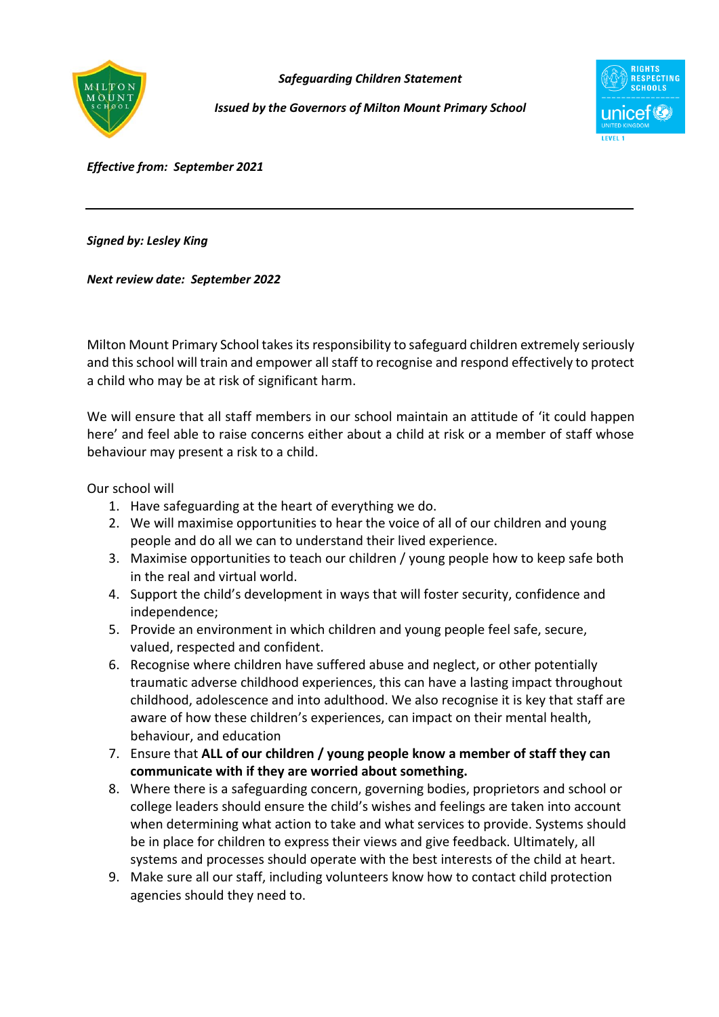

*Safeguarding Children Statement*

*Issued by the Governors of Milton Mount Primary School*



*Effective from: September 2021*

*Signed by: Lesley King*

*Next review date: September 2022*

Milton Mount Primary School takes its responsibility to safeguard children extremely seriously and this school will train and empower all staff to recognise and respond effectively to protect a child who may be at risk of significant harm.

We will ensure that all staff members in our school maintain an attitude of 'it could happen here' and feel able to raise concerns either about a child at risk or a member of staff whose behaviour may present a risk to a child.

Our school will

- 1. Have safeguarding at the heart of everything we do.
- 2. We will maximise opportunities to hear the voice of all of our children and young people and do all we can to understand their lived experience.
- 3. Maximise opportunities to teach our children / young people how to keep safe both in the real and virtual world.
- 4. Support the child's development in ways that will foster security, confidence and independence;
- 5. Provide an environment in which children and young people feel safe, secure, valued, respected and confident.
- 6. Recognise where children have suffered abuse and neglect, or other potentially traumatic adverse childhood experiences, this can have a lasting impact throughout childhood, adolescence and into adulthood. We also recognise it is key that staff are aware of how these children's experiences, can impact on their mental health, behaviour, and education
- 7. Ensure that **ALL of our children / young people know a member of staff they can communicate with if they are worried about something.**
- 8. Where there is a safeguarding concern, governing bodies, proprietors and school or college leaders should ensure the child's wishes and feelings are taken into account when determining what action to take and what services to provide. Systems should be in place for children to express their views and give feedback. Ultimately, all systems and processes should operate with the best interests of the child at heart.
- 9. Make sure all our staff, including volunteers know how to contact child protection agencies should they need to.